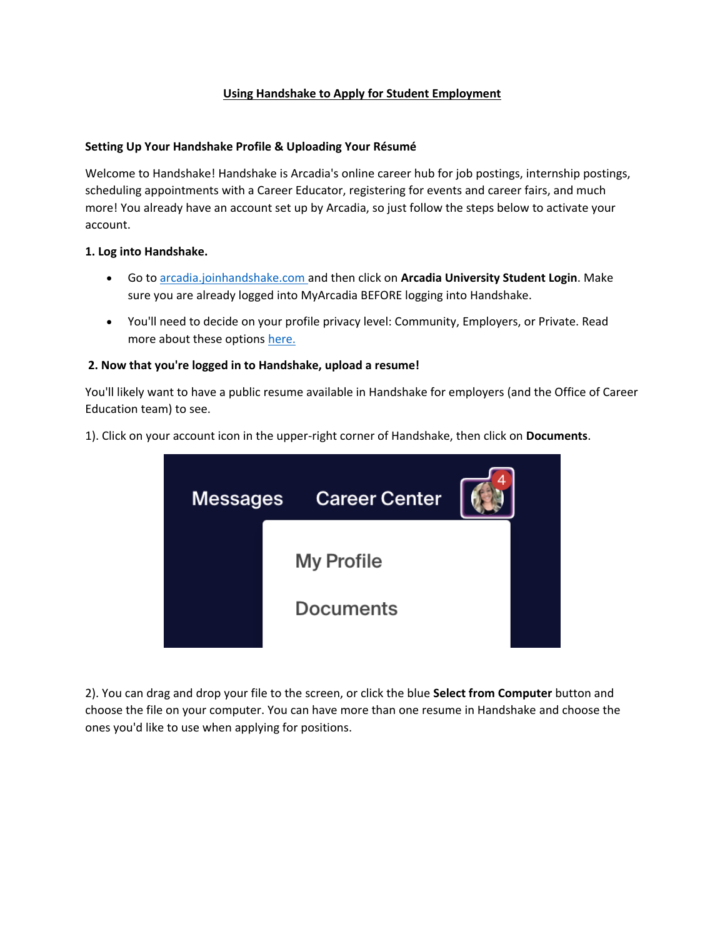# **Using Handshake to Apply for Student Employment**

## **Setting Up Your Handshake Profile & Uploading Your Résumé**

Welcome to Handshake! Handshake is Arcadia's online career hub for job postings, internship postings, scheduling appointments with a Career Educator, registering for events and career fairs, and much more! You already have an account set up by Arcadia, so just follow the steps below to activate your account.

## **1. Log into Handshake.**

- Go to [arcadia.joinhandshake.com](https://arcadia.joinhandshake.com/) and then click on **Arcadia University Student Login**. Make sure you are already logged into MyArcadia BEFORE logging into Handshake.
- You'll need to decide on your profile privacy level: Community, Employers, or Private. Read more about these options [here.](https://support.joinhandshake.com/hc/en-us/articles/115007281988)

# **2. Now that you're logged in to Handshake, upload a resume!**

You'll likely want to have a public resume available in Handshake for employers (and the Office of Career Education team) to see.

1). Click on your account icon in the upper-right corner of Handshake, then click on **Documents**.



2). You can drag and drop your file to the screen, or click the blue **Select from Computer** button and choose the file on your computer. You can have more than one resume in Handshake and choose the ones you'd like to use when applying for positions.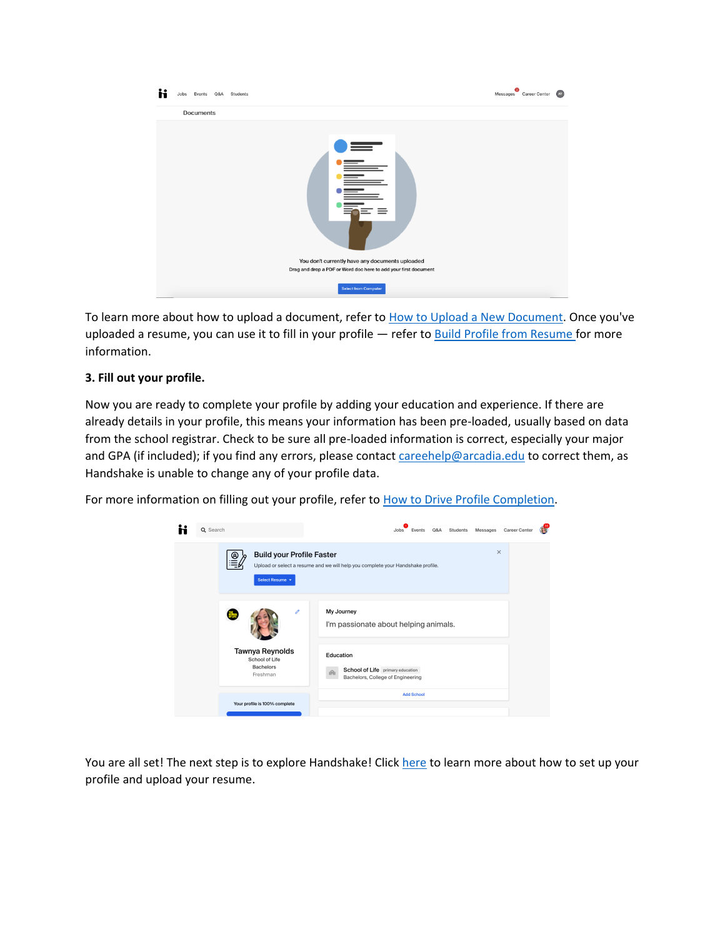| Events Q&A<br>Students<br>Jobs<br>n                                                            | Messages Career Center<br>$\bullet$ |
|------------------------------------------------------------------------------------------------|-------------------------------------|
| Documents                                                                                      |                                     |
| $\equiv$                                                                                       |                                     |
| You don't currently have any documents uploaded                                                |                                     |
| Drag and drop a PDF or Word doc here to add your first document<br><b>Select from Computer</b> |                                     |

To learn more about how to upload a document, refer to [How to Upload a New Document.](https://support.joinhandshake.com/hc/en-us/articles/218692648) Once you've uploaded a resume, you can use it to fill in your profile — refer to [Build Profile from Resume](https://support.joinhandshake.com/hc/en-us/articles/360040813754-Build-Profile-from-Resume) for more information.

# **3. Fill out your profile.**

Now you are ready to complete your profile by adding your education and experience. If there are already details in your profile, this means your information has been pre-loaded, usually based on data from the school registrar. Check to be sure all pre-loaded information is correct, especially your major and GPA (if included); if you find any errors, please contact [careehelp@arcadia.edu](mailto:careehelp@arcadia.edu) to correct them, as Handshake is unable to change any of your profile data.

For more information on filling out your profile, refer to **How to Drive Profile Completion**.

|              | Q Search                                                 |                                                                   |                               |  |                                                                                          |                                                                                             | adol. | Events            | Q&A | Students | Messages | <b>Career Center</b> |  |
|--------------|----------------------------------------------------------|-------------------------------------------------------------------|-------------------------------|--|------------------------------------------------------------------------------------------|---------------------------------------------------------------------------------------------|-------|-------------------|-----|----------|----------|----------------------|--|
|              | <b>Build your Profile Faster</b><br>ဖ<br>Select Resume + |                                                                   |                               |  |                                                                                          | $\times$<br>Upload or select a resume and we will help you complete your Handshake profile. |       |                   |     |          |          |                      |  |
| $\mathscr O$ |                                                          |                                                                   |                               |  | My Journey<br>I'm passionate about helping animals.                                      |                                                                                             |       |                   |     |          |          |                      |  |
|              |                                                          | Tawnya Reynolds<br>School of Life<br><b>Bachelors</b><br>Freshman |                               |  | Education<br>School of Life primary education<br>ıĤ<br>Bachelors, College of Engineering |                                                                                             |       |                   |     |          |          |                      |  |
|              |                                                          |                                                                   | Your profile is 100% complete |  |                                                                                          |                                                                                             |       | <b>Add School</b> |     |          |          |                      |  |

You are all set! The next step is to explore Handshake! Click [here](https://support.joinhandshake.com/hc/en-us/articles/218693368-Getting-Started-with-Handshake) to learn more about how to set up your profile and upload your resume.